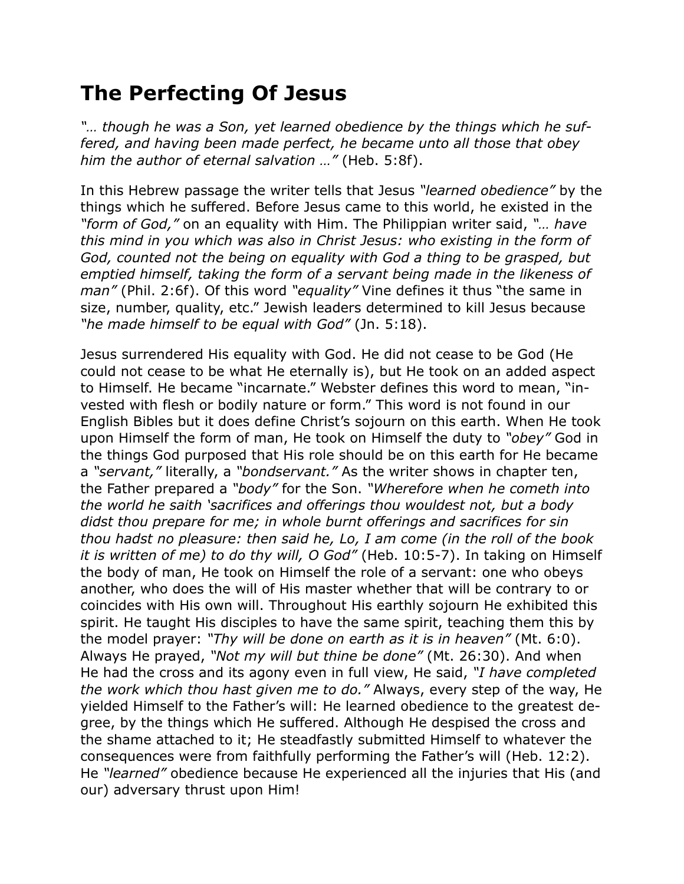## **The Perfecting Of Jesus**

*"… though he was a Son, yet learned obedience by the things which he suffered, and having been made perfect, he became unto all those that obey him the author of eternal salvation …"* (Heb. 5:8f).

In this Hebrew passage the writer tells that Jesus *"learned obedience"* by the things which he suffered. Before Jesus came to this world, he existed in the *"form of God,"* on an equality with Him. The Philippian writer said, *"… have this mind in you which was also in Christ Jesus: who existing in the form of God, counted not the being on equality with God a thing to be grasped, but emptied himself, taking the form of a servant being made in the likeness of man"* (Phil. 2:6f). Of this word *"equality"* Vine defines it thus "the same in size, number, quality, etc." Jewish leaders determined to kill Jesus because *"he made himself to be equal with God"* (Jn. 5:18).

Jesus surrendered His equality with God. He did not cease to be God (He could not cease to be what He eternally is), but He took on an added aspect to Himself. He became "incarnate." Webster defines this word to mean, "invested with flesh or bodily nature or form." This word is not found in our English Bibles but it does define Christ's sojourn on this earth. When He took upon Himself the form of man, He took on Himself the duty to *"obey"* God in the things God purposed that His role should be on this earth for He became a *"servant,"* literally, a *"bondservant."* As the writer shows in chapter ten, the Father prepared a *"body"* for the Son. *"Wherefore when he cometh into the world he saith 'sacrifices and offerings thou wouldest not, but a body didst thou prepare for me; in whole burnt offerings and sacrifices for sin thou hadst no pleasure: then said he, Lo, I am come (in the roll of the book it is written of me) to do thy will, O God"* (Heb. 10:5-7). In taking on Himself the body of man, He took on Himself the role of a servant: one who obeys another, who does the will of His master whether that will be contrary to or coincides with His own will. Throughout His earthly sojourn He exhibited this spirit. He taught His disciples to have the same spirit, teaching them this by the model prayer: *"Thy will be done on earth as it is in heaven"* (Mt. 6:0). Always He prayed, *"Not my will but thine be done"* (Mt. 26:30). And when He had the cross and its agony even in full view, He said, *"I have completed the work which thou hast given me to do."* Always, every step of the way, He yielded Himself to the Father's will: He learned obedience to the greatest degree, by the things which He suffered. Although He despised the cross and the shame attached to it; He steadfastly submitted Himself to whatever the consequences were from faithfully performing the Father's will (Heb. 12:2). He *"learned"* obedience because He experienced all the injuries that His (and our) adversary thrust upon Him!